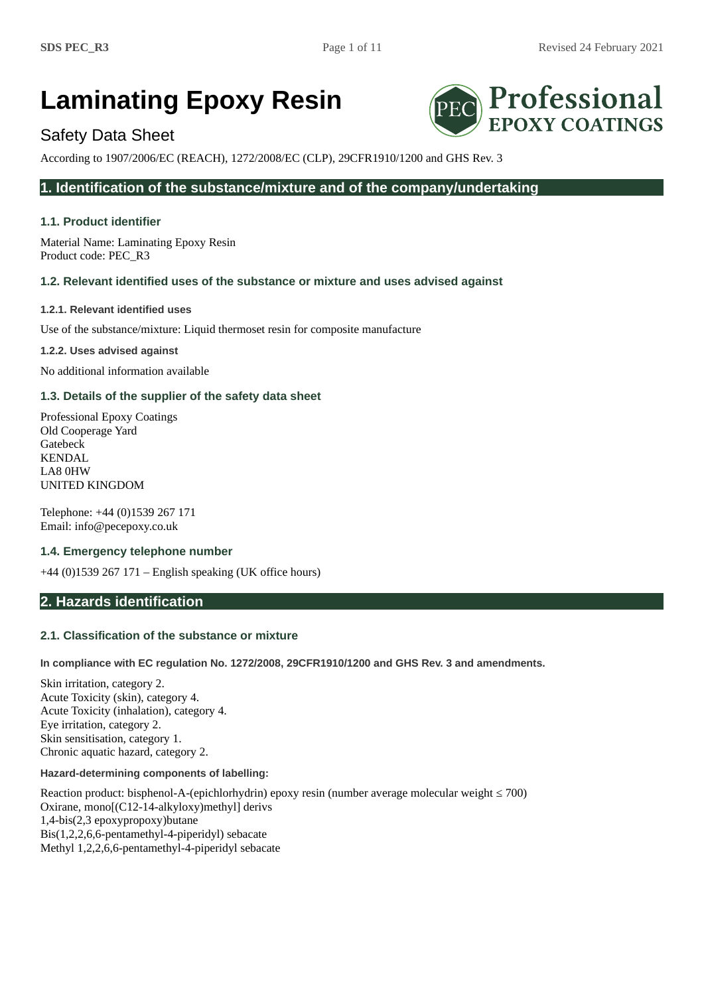# **Laminating Epoxy Resin**

# Safety Data Sheet

According to 1907/2006/EC (REACH), 1272/2008/EC (CLP), 29CFR1910/1200 and GHS Rev. 3

# **1. Identification of the substance/mixture and of the company/undertaking**

# **1.1. Product identifier**

Material Name: Laminating Epoxy Resin Product code: PEC\_R3

# **1.2. Relevant identified uses of the substance or mixture and uses advised against**

**1.2.1. Relevant identified uses**

Use of the substance/mixture: Liquid thermoset resin for composite manufacture

**1.2.2. Uses advised against**

No additional information available

# **1.3. Details of the supplier of the safety data sheet**

Professional Epoxy Coatings Old Cooperage Yard Gatebeck KENDAL LA8 0HW UNITED KINGDOM

Telephone: +44 (0)1539 267 171 Email: info@pecepoxy.co.uk

## **1.4. Emergency telephone number**

+44 (0)1539 267 171 – English speaking (UK office hours)

# **2. Hazards identification**

# **2.1. Classification of the substance or mixture**

**In compliance with EC regulation No. 1272/2008, 29CFR1910/1200 and GHS Rev. 3 and amendments.**

Skin irritation, category 2. Acute Toxicity (skin), category 4. Acute Toxicity (inhalation), category 4. Eye irritation, category 2. Skin sensitisation, category 1. Chronic aquatic hazard, category 2.

## **Hazard-determining components of labelling:**

Reaction product: bisphenol-A-(epichlorhydrin) epoxy resin (number average molecular weight ≤ 700) Oxirane, mono[(C12-14-alkyloxy)methyl] derivs 1,4-bis(2,3 epoxypropoxy)butane Bis(1,2,2,6,6-pentamethyl-4-piperidyl) sebacate Methyl 1,2,2,6,6-pentamethyl-4-piperidyl sebacate

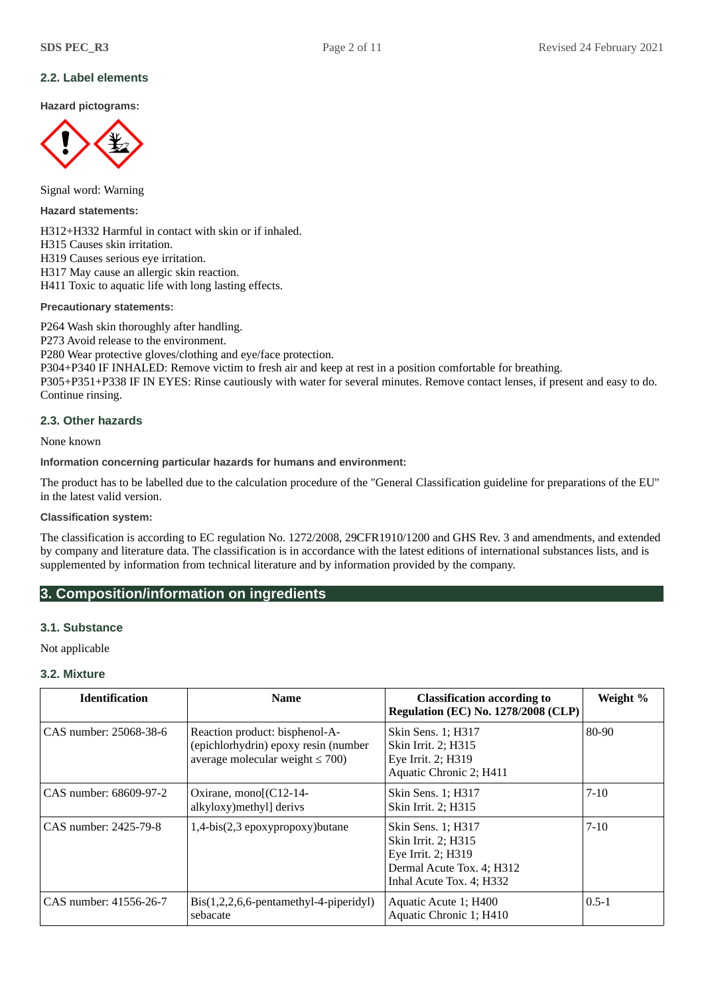# **2.2. Label elements**

**Hazard pictograms:**



Signal word: Warning

**Hazard statements:**

H312+H332 Harmful in contact with skin or if inhaled. H315 Causes skin irritation. H319 Causes serious eye irritation. H317 May cause an allergic skin reaction. H411 Toxic to aquatic life with long lasting effects.

**Precautionary statements:**

P264 Wash skin thoroughly after handling.

P273 Avoid release to the environment.

P280 Wear protective gloves/clothing and eye/face protection.

P304+P340 IF INHALED: Remove victim to fresh air and keep at rest in a position comfortable for breathing.

P305+P351+P338 IF IN EYES: Rinse cautiously with water for several minutes. Remove contact lenses, if present and easy to do. Continue rinsing.

## **2.3. Other hazards**

None known

## **Information concerning particular hazards for humans and environment:**

The product has to be labelled due to the calculation procedure of the "General Classification guideline for preparations of the EU" in the latest valid version.

## **Classification system:**

The classification is according to EC regulation No. 1272/2008, 29CFR1910/1200 and GHS Rev. 3 and amendments, and extended by company and literature data. The classification is in accordance with the latest editions of international substances lists, and is supplemented by information from technical literature and by information provided by the company.

# **3. Composition/information on ingredients**

## **3.1. Substance**

Not applicable

## **3.2. Mixture**

| <b>Identification</b>  | <b>Name</b>                                                                                                     | <b>Classification according to</b><br><b>Regulation (EC) No. 1278/2008 (CLP)</b>                                         | Weight %  |
|------------------------|-----------------------------------------------------------------------------------------------------------------|--------------------------------------------------------------------------------------------------------------------------|-----------|
| CAS number: 25068-38-6 | Reaction product: bisphenol-A-<br>(epichlorhydrin) epoxy resin (number<br>average molecular weight $\leq 700$ ) | Skin Sens. 1; H317<br>Skin Irrit. 2; H315<br>Eye Irrit. 2; H319<br>Aquatic Chronic 2; H411                               | 80-90     |
| CAS number: 68609-97-2 | Oxirane, mono[(C12-14-<br>alkyloxy) methyl] derivs                                                              | Skin Sens. 1; H317<br>Skin Irrit. 2; H315                                                                                | $7 - 10$  |
| CAS number: 2425-79-8  | 1,4-bis(2,3 epoxypropoxy)butane                                                                                 | Skin Sens. 1; H317<br>Skin Irrit. 2; H315<br>Eye Irrit. 2; H319<br>Dermal Acute Tox. 4; H312<br>Inhal Acute Tox. 4; H332 | $7 - 10$  |
| CAS number: 41556-26-7 | Bis(1,2,2,6,6-pentamethyl-4-piperidyl)<br>sebacate                                                              | Aquatic Acute 1; H400<br>Aquatic Chronic 1; H410                                                                         | $0.5 - 1$ |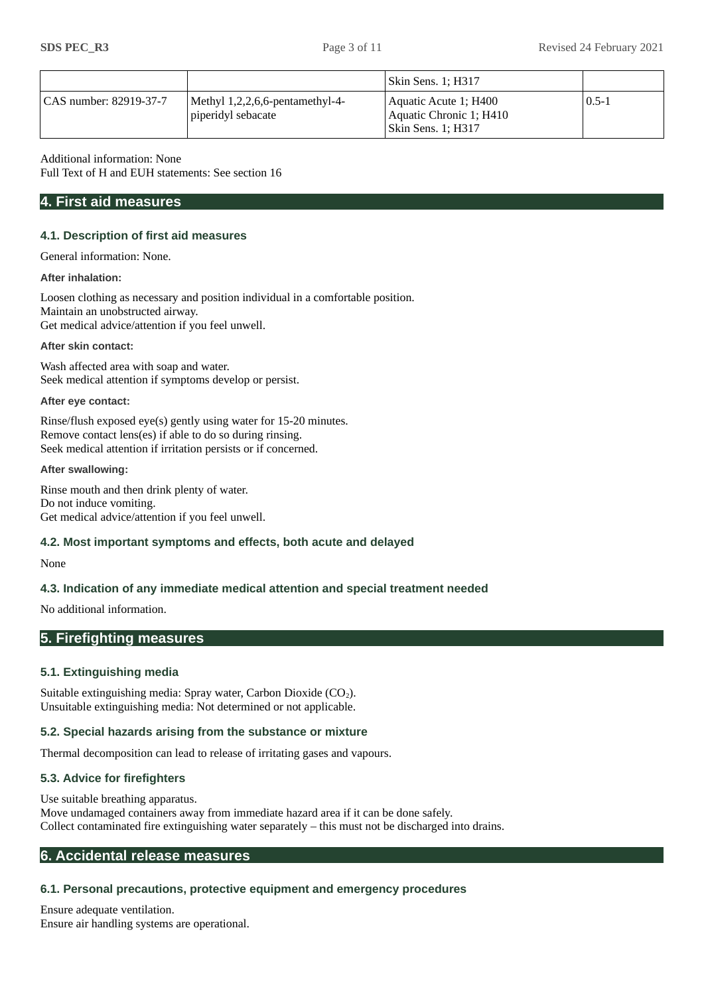|                        |                                                       | Skin Sens. 1; H317                                                       |           |
|------------------------|-------------------------------------------------------|--------------------------------------------------------------------------|-----------|
| CAS number: 82919-37-7 | Methyl 1,2,2,6,6-pentamethyl-4-<br>piperidyl sebacate | Aquatic Acute 1; H400<br>Aquatic Chronic 1; H410<br>  Skin Sens. 1; H317 | $0.5 - 1$ |

Additional information: None

Full Text of H and EUH statements: See section 16

# **4. First aid measures**

## **4.1. Description of first aid measures**

General information: None.

## **After inhalation:**

Loosen clothing as necessary and position individual in a comfortable position. Maintain an unobstructed airway. Get medical advice/attention if you feel unwell.

## **After skin contact:**

Wash affected area with soap and water. Seek medical attention if symptoms develop or persist.

## **After eye contact:**

Rinse/flush exposed eye(s) gently using water for 15-20 minutes. Remove contact lens(es) if able to do so during rinsing. Seek medical attention if irritation persists or if concerned.

## **After swallowing:**

Rinse mouth and then drink plenty of water. Do not induce vomiting. Get medical advice/attention if you feel unwell.

## **4.2. Most important symptoms and effects, both acute and delayed**

#### None

# **4.3. Indication of any immediate medical attention and special treatment needed**

No additional information.

# **5. Firefighting measures**

## **5.1. Extinguishing media**

Suitable extinguishing media: Spray water, Carbon Dioxide  $(CO<sub>2</sub>)$ . Unsuitable extinguishing media: Not determined or not applicable.

## **5.2. Special hazards arising from the substance or mixture**

Thermal decomposition can lead to release of irritating gases and vapours.

# **5.3. Advice for firefighters**

Use suitable breathing apparatus. Move undamaged containers away from immediate hazard area if it can be done safely. Collect contaminated fire extinguishing water separately – this must not be discharged into drains.

# **6. Accidental release measures**

# **6.1. Personal precautions, protective equipment and emergency procedures**

Ensure adequate ventilation. Ensure air handling systems are operational.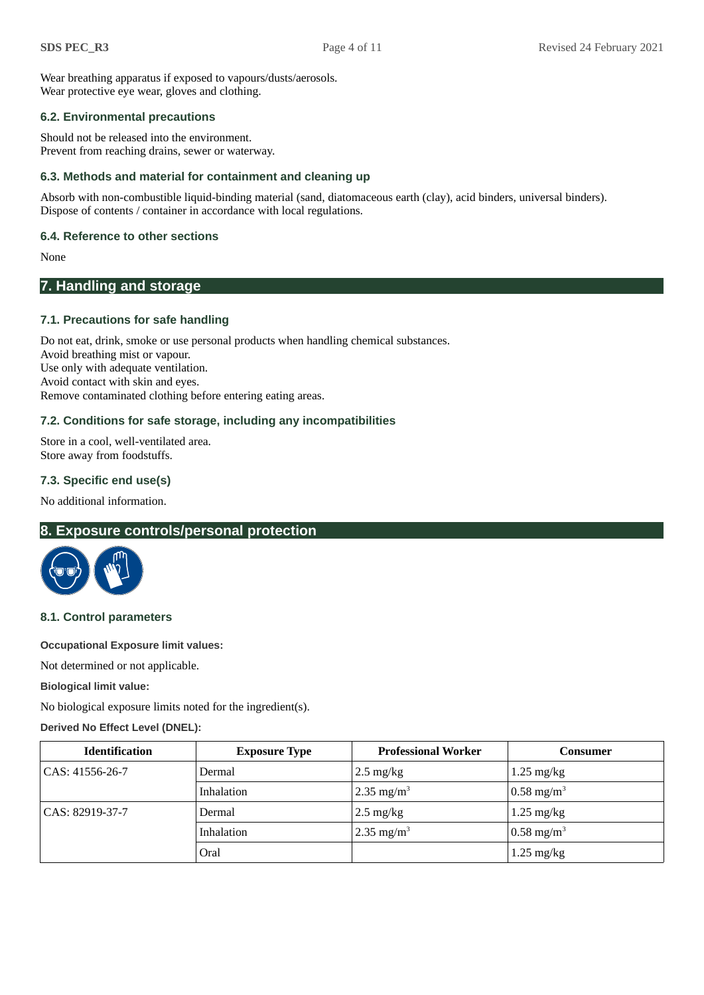Wear breathing apparatus if exposed to vapours/dusts/aerosols. Wear protective eye wear, gloves and clothing.

## **6.2. Environmental precautions**

Should not be released into the environment. Prevent from reaching drains, sewer or waterway.

## **6.3. Methods and material for containment and cleaning up**

Absorb with non-combustible liquid-binding material (sand, diatomaceous earth (clay), acid binders, universal binders). Dispose of contents / container in accordance with local regulations.

## **6.4. Reference to other sections**

None

# **7. Handling and storage**

# **7.1. Precautions for safe handling**

Do not eat, drink, smoke or use personal products when handling chemical substances. Avoid breathing mist or vapour. Use only with adequate ventilation. Avoid contact with skin and eyes. Remove contaminated clothing before entering eating areas.

# **7.2. Conditions for safe storage, including any incompatibilities**

Store in a cool, well-ventilated area. Store away from foodstuffs.

# **7.3. Specific end use(s)**

No additional information.

# **8. Exposure controls/personal protection**



## **8.1. Control parameters**

**Occupational Exposure limit values:**

Not determined or not applicable.

**Biological limit value:**

No biological exposure limits noted for the ingredient(s).

## **Derived No Effect Level (DNEL):**

| <b>Identification</b> | <b>Exposure Type</b> | <b>Professional Worker</b> | Consumer              |
|-----------------------|----------------------|----------------------------|-----------------------|
| CAS: 41556-26-7       | Dermal               | $2.5 \text{ mg/kg}$        | $1.25 \text{ mg/kg}$  |
|                       | Inhalation           | 2.35 mg/m <sup>3</sup>     | $0.58 \text{ mg/m}^3$ |
| $ CAS: 82919-37-7$    | Dermal               | $2.5 \text{ mg/kg}$        | $1.25 \text{ mg/kg}$  |
|                       | Inhalation           | 2.35 mg/m <sup>3</sup>     | $0.58 \text{ mg/m}^3$ |
|                       | Oral                 |                            | $1.25 \text{ mg/kg}$  |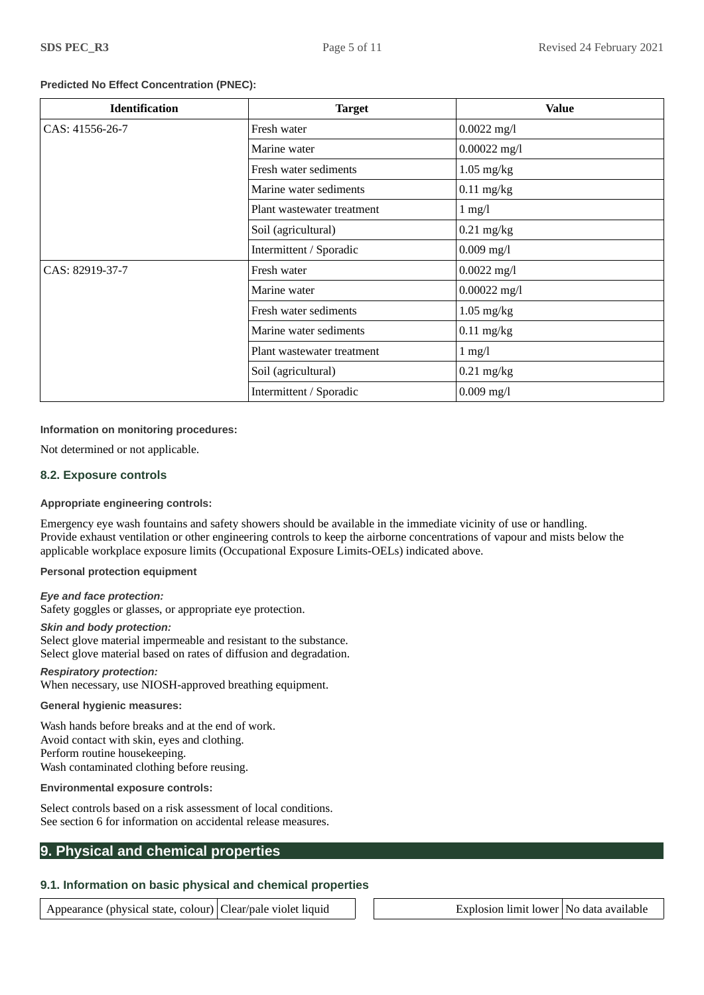## **Predicted No Effect Concentration (PNEC):**

| <b>Identification</b> | <b>Target</b>              | <b>Value</b>   |
|-----------------------|----------------------------|----------------|
| CAS: 41556-26-7       | Fresh water                | $0.0022$ mg/l  |
|                       | Marine water               | $0.00022$ mg/l |
|                       | Fresh water sediments      | $1.05$ mg/kg   |
|                       | Marine water sediments     | $0.11$ mg/kg   |
|                       | Plant wastewater treatment | $1$ mg/l       |
|                       | Soil (agricultural)        | $0.21$ mg/kg   |
|                       | Intermittent / Sporadic    | $0.009$ mg/l   |
| CAS: 82919-37-7       | Fresh water                | $0.0022$ mg/l  |
|                       | Marine water               | $0.00022$ mg/l |
|                       | Fresh water sediments      | $1.05$ mg/kg   |
|                       | Marine water sediments     | $0.11$ mg/kg   |
|                       | Plant wastewater treatment | $1$ mg/l       |
|                       | Soil (agricultural)        | $0.21$ mg/kg   |
|                       | Intermittent / Sporadic    | $0.009$ mg/l   |

## **Information on monitoring procedures:**

Not determined or not applicable.

## **8.2. Exposure controls**

## **Appropriate engineering controls:**

Emergency eye wash fountains and safety showers should be available in the immediate vicinity of use or handling. Provide exhaust ventilation or other engineering controls to keep the airborne concentrations of vapour and mists below the applicable workplace exposure limits (Occupational Exposure Limits-OELs) indicated above.

**Personal protection equipment**

#### *Eye and face protection:*

Safety goggles or glasses, or appropriate eye protection.

#### *Skin and body protection:*

Select glove material impermeable and resistant to the substance. Select glove material based on rates of diffusion and degradation.

#### *Respiratory protection:* When necessary, use NIOSH-approved breathing equipment.

#### **General hygienic measures:**

Wash hands before breaks and at the end of work. Avoid contact with skin, eyes and clothing. Perform routine housekeeping. Wash contaminated clothing before reusing.

#### **Environmental exposure controls:**

Select controls based on a risk assessment of local conditions. See section 6 for information on accidental release measures.

# **9. Physical and chemical properties**

# **9.1. Information on basic physical and chemical properties**

Appearance (physical state, colour) Clear/pale violet liquid  $\Box$  Explosion limit lower No data available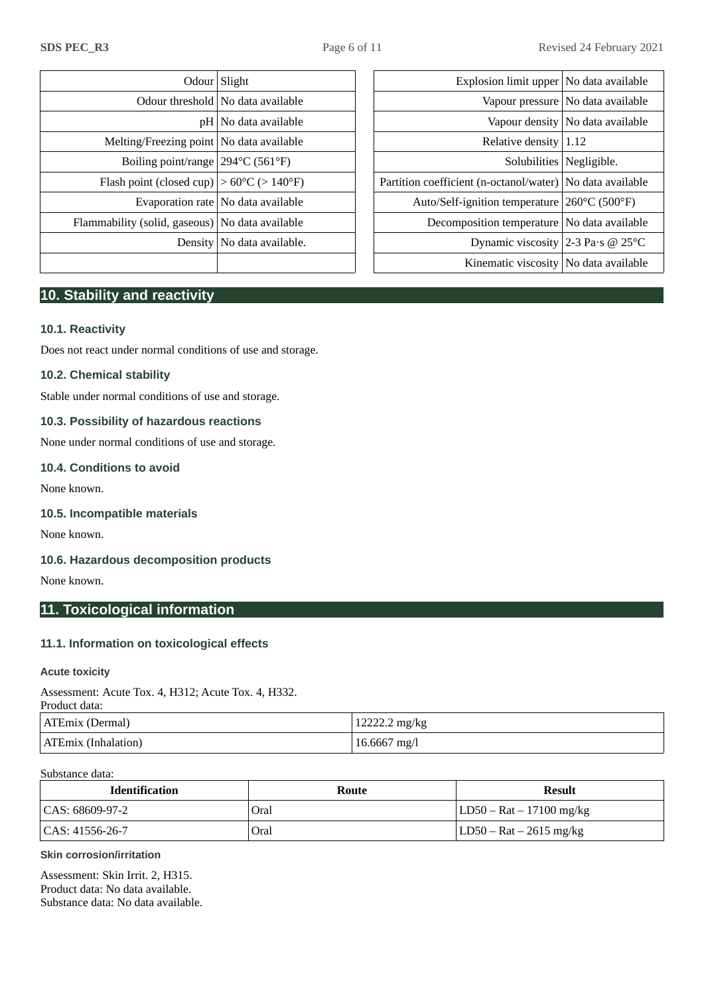|                                                              | Odour Slight                         | Explosion limit upper No data available                     |                                     |
|--------------------------------------------------------------|--------------------------------------|-------------------------------------------------------------|-------------------------------------|
|                                                              | Odour threshold   No data available  |                                                             | Vapour pressure   No data available |
|                                                              | $pH $ No data available              |                                                             | Vapour density No data available    |
| Melting/Freezing point   No data available                   |                                      | Relative density $ 1.12$                                    |                                     |
| Boiling point/range $ 294^{\circ}C(561^{\circ}F) $           |                                      |                                                             | Solubilities   Negligible.          |
| Flash point (closed cup) $ >60^{\circ}C$ ( $>140^{\circ}F$ ) |                                      | Partition coefficient (n-octanol/water)   No data available |                                     |
|                                                              | Evaporation rate   No data available | Auto/Self-ignition temperature 260°C (500°F)                |                                     |
| Flammability (solid, gaseous) No data available              |                                      | Decomposition temperature   No data available               |                                     |
|                                                              | Density   No data available.         | Dynamic viscosity 2-3 Pa·s @ 25 $\textdegree$ C             |                                     |
|                                                              |                                      | $L^2$ in cuesti o cienceito $ N_{\alpha} $ dete ecceileble  |                                     |

| Odour Slight                                                 |                                      | Explosion limit upper   No data available                   |                                     |
|--------------------------------------------------------------|--------------------------------------|-------------------------------------------------------------|-------------------------------------|
|                                                              | Odour threshold   No data available  |                                                             | Vapour pressure   No data available |
|                                                              | $pH $ No data available              |                                                             | Vapour density   No data available  |
| Melting/Freezing point   No data available                   |                                      | Relative density $ 1.12$                                    |                                     |
| Boiling point/range $ 294^{\circ}C(561^{\circ}F) $           |                                      | Solubilities   Negligible.                                  |                                     |
| Flash point (closed cup) $ >60^{\circ}C$ ( $>140^{\circ}F$ ) |                                      | Partition coefficient (n-octanol/water)   No data available |                                     |
|                                                              | Evaporation rate   No data available | Auto/Self-ignition temperature 260°C (500°F)                |                                     |
| mability (solid, gaseous)   No data available                |                                      | Decomposition temperature   No data available               |                                     |
|                                                              | Density   No data available.         | Dynamic viscosity 2-3 Pa·s @ 25 $\textdegree$ C             |                                     |
|                                                              |                                      | Kinematic viscosity   No data available                     |                                     |
|                                                              |                                      |                                                             |                                     |

# **10. Stability and reactivity**

# **10.1. Reactivity**

Does not react under normal conditions of use and storage.

## **10.2. Chemical stability**

Stable under normal conditions of use and storage.

# **10.3. Possibility of hazardous reactions**

None under normal conditions of use and storage.

## **10.4. Conditions to avoid**

None known.

#### **10.5. Incompatible materials**

None known.

## **10.6. Hazardous decomposition products**

None known.

# **11. Toxicological information**

## **11.1. Information on toxicological effects**

## **Acute toxicity**

Assessment: Acute Tox. 4, H312; Acute Tox. 4, H332.

| Product data: |  |
|---------------|--|
|               |  |

| ATEmix (Dermal)     | 12222.2 mg/kg |
|---------------------|---------------|
| ATEmix (Inhalation) | 16.6667 mg/l  |

#### Substance data:

| <b>Identification</b> | Route | Result                      |
|-----------------------|-------|-----------------------------|
| CAS: 68609-97-2       | Oral  | $ LD50 - Rat - 17100 mg/kg$ |
| $  CAS: 41556-26-7$   | Oral  | LD50 – Rat – 2615 mg/kg     |

#### **Skin corrosion/irritation**

Assessment: Skin Irrit. 2, H315. Product data: No data available. Substance data: No data available.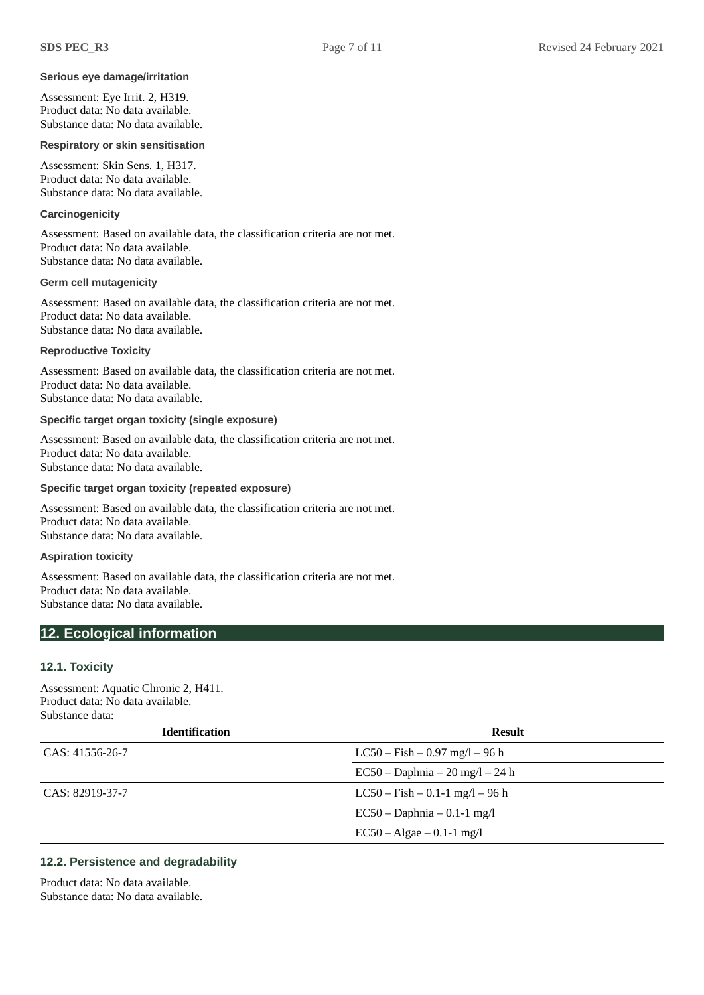#### **Serious eye damage/irritation**

Assessment: Eye Irrit. 2, H319. Product data: No data available. Substance data: No data available.

#### **Respiratory or skin sensitisation**

Assessment: Skin Sens. 1, H317. Product data: No data available. Substance data: No data available.

#### **Carcinogenicity**

Assessment: Based on available data, the classification criteria are not met. Product data: No data available. Substance data: No data available.

#### **Germ cell mutagenicity**

Assessment: Based on available data, the classification criteria are not met. Product data: No data available. Substance data: No data available.

**Reproductive Toxicity**

Assessment: Based on available data, the classification criteria are not met. Product data: No data available. Substance data: No data available.

#### **Specific target organ toxicity (single exposure)**

Assessment: Based on available data, the classification criteria are not met. Product data: No data available. Substance data: No data available.

## **Specific target organ toxicity (repeated exposure)**

Assessment: Based on available data, the classification criteria are not met. Product data: No data available. Substance data: No data available.

**Aspiration toxicity**

Assessment: Based on available data, the classification criteria are not met. Product data: No data available. Substance data: No data available.

## **12. Ecological information**

#### **12.1. Toxicity**

Assessment: Aquatic Chronic 2, H411. Product data: No data available. Substance data:

| <b>Identification</b> | <b>Result</b>                        |
|-----------------------|--------------------------------------|
| CAS: 41556-26-7       | $ LC50 - Fish - 0.97 mg/1 - 96 h$    |
|                       | EC50 – Daphnia – 20 mg/l – 24 h      |
| CAS: 82919-37-7       | $ LC50 - Fish - 0.1 - 1 mg/1 - 96 h$ |
|                       | $\vert$ EC50 – Daphnia – 0.1-1 mg/l  |
|                       | $\vert$ EC50 – Algae – 0.1-1 mg/l    |

# **12.2. Persistence and degradability**

Product data: No data available. Substance data: No data available.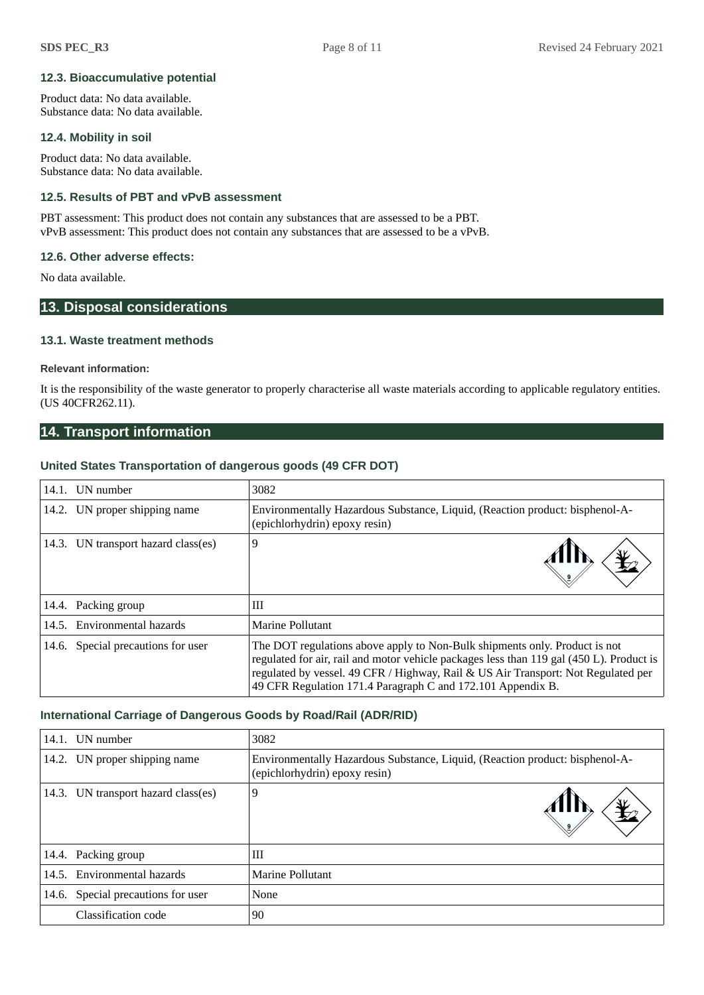## **12.3. Bioaccumulative potential**

Product data: No data available. Substance data: No data available.

## **12.4. Mobility in soil**

Product data: No data available. Substance data: No data available.

# **12.5. Results of PBT and vPvB assessment**

PBT assessment: This product does not contain any substances that are assessed to be a PBT. vPvB assessment: This product does not contain any substances that are assessed to be a vPvB.

## **12.6. Other adverse effects:**

No data available.

# **13. Disposal considerations**

## **13.1. Waste treatment methods**

#### **Relevant information:**

It is the responsibility of the waste generator to properly characterise all waste materials according to applicable regulatory entities. (US 40CFR262.11).

# **14. Transport information**

## **United States Transportation of dangerous goods (49 CFR DOT)**

| 14.1. UN number                     | 3082                                                                                                                                                                                                                                                                                                                       |
|-------------------------------------|----------------------------------------------------------------------------------------------------------------------------------------------------------------------------------------------------------------------------------------------------------------------------------------------------------------------------|
| 14.2. UN proper shipping name       | Environmentally Hazardous Substance, Liquid, (Reaction product: bisphenol-A-<br>(epichlorhydrin) epoxy resin)                                                                                                                                                                                                              |
| 14.3. UN transport hazard class(es) | 9                                                                                                                                                                                                                                                                                                                          |
| 14.4. Packing group                 | Ш                                                                                                                                                                                                                                                                                                                          |
| 14.5. Environmental hazards         | Marine Pollutant                                                                                                                                                                                                                                                                                                           |
| 14.6. Special precautions for user  | The DOT regulations above apply to Non-Bulk shipments only. Product is not<br>regulated for air, rail and motor vehicle packages less than 119 gal (450 L). Product is<br>regulated by vessel. 49 CFR / Highway, Rail & US Air Transport: Not Regulated per<br>49 CFR Regulation 171.4 Paragraph C and 172.101 Appendix B. |

## **International Carriage of Dangerous Goods by Road/Rail (ADR/RID)**

| 14.1. | UN number                           | 3082                                                                                                          |
|-------|-------------------------------------|---------------------------------------------------------------------------------------------------------------|
|       | 14.2. UN proper shipping name       | Environmentally Hazardous Substance, Liquid, (Reaction product: bisphenol-A-<br>(epichlorhydrin) epoxy resin) |
|       | 14.3. UN transport hazard class(es) | 9                                                                                                             |
|       | 14.4. Packing group                 | Ш                                                                                                             |
|       | 14.5. Environmental hazards         | Marine Pollutant                                                                                              |
|       | 14.6. Special precautions for user  | None                                                                                                          |
|       | Classification code                 | 90                                                                                                            |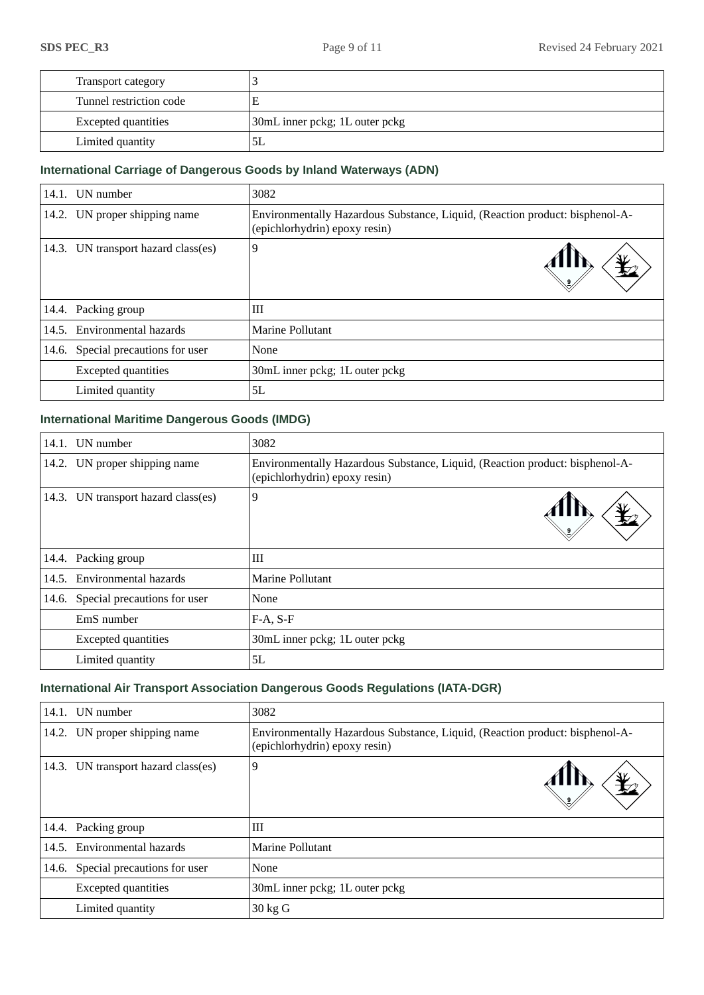| Transport category         |                                |
|----------------------------|--------------------------------|
| Tunnel restriction code    |                                |
| <b>Excepted quantities</b> | 30mL inner pckg; 1L outer pckg |
| Limited quantity           | 5L                             |

# **International Carriage of Dangerous Goods by Inland Waterways (ADN)**

|       | 14.1. UN number                     | 3082                                                                                                          |  |
|-------|-------------------------------------|---------------------------------------------------------------------------------------------------------------|--|
|       | 14.2. UN proper shipping name       | Environmentally Hazardous Substance, Liquid, (Reaction product: bisphenol-A-<br>(epichlorhydrin) epoxy resin) |  |
|       | 14.3. UN transport hazard class(es) | 9                                                                                                             |  |
|       | 14.4. Packing group                 | Ш                                                                                                             |  |
|       | 14.5. Environmental hazards         | Marine Pollutant                                                                                              |  |
| 14.6. | Special precautions for user        | None                                                                                                          |  |
|       | <b>Excepted quantities</b>          | 30mL inner pckg; 1L outer pckg                                                                                |  |
|       | Limited quantity                    | 5L                                                                                                            |  |

# **International Maritime Dangerous Goods (IMDG)**

| 14.1. | UN number                           | 3082                                                                                                          |  |
|-------|-------------------------------------|---------------------------------------------------------------------------------------------------------------|--|
|       | 14.2. UN proper shipping name       | Environmentally Hazardous Substance, Liquid, (Reaction product: bisphenol-A-<br>(epichlorhydrin) epoxy resin) |  |
|       | 14.3. UN transport hazard class(es) | 9                                                                                                             |  |
|       | 14.4. Packing group                 | Ш                                                                                                             |  |
|       | 14.5. Environmental hazards         | Marine Pollutant                                                                                              |  |
|       | 14.6. Special precautions for user  | None                                                                                                          |  |
|       | EmS number                          | $F-A, S-F$                                                                                                    |  |
|       | <b>Excepted quantities</b>          | 30mL inner pckg; 1L outer pckg                                                                                |  |
|       | Limited quantity                    | 5L                                                                                                            |  |

# **International Air Transport Association Dangerous Goods Regulations (IATA-DGR)**

|       | 14.1. UN number                     | 3082                                                                                                          |  |
|-------|-------------------------------------|---------------------------------------------------------------------------------------------------------------|--|
|       | 14.2. UN proper shipping name       | Environmentally Hazardous Substance, Liquid, (Reaction product: bisphenol-A-<br>(epichlorhydrin) epoxy resin) |  |
|       | 14.3. UN transport hazard class(es) | 9                                                                                                             |  |
|       | 14.4. Packing group                 | Ш                                                                                                             |  |
| 14.5. | Environmental hazards               | Marine Pollutant                                                                                              |  |
| 14.6. | Special precautions for user        | None                                                                                                          |  |
|       | <b>Excepted quantities</b>          | 30mL inner pckg; 1L outer pckg                                                                                |  |
|       | Limited quantity                    | $30 \text{ kg}$ G                                                                                             |  |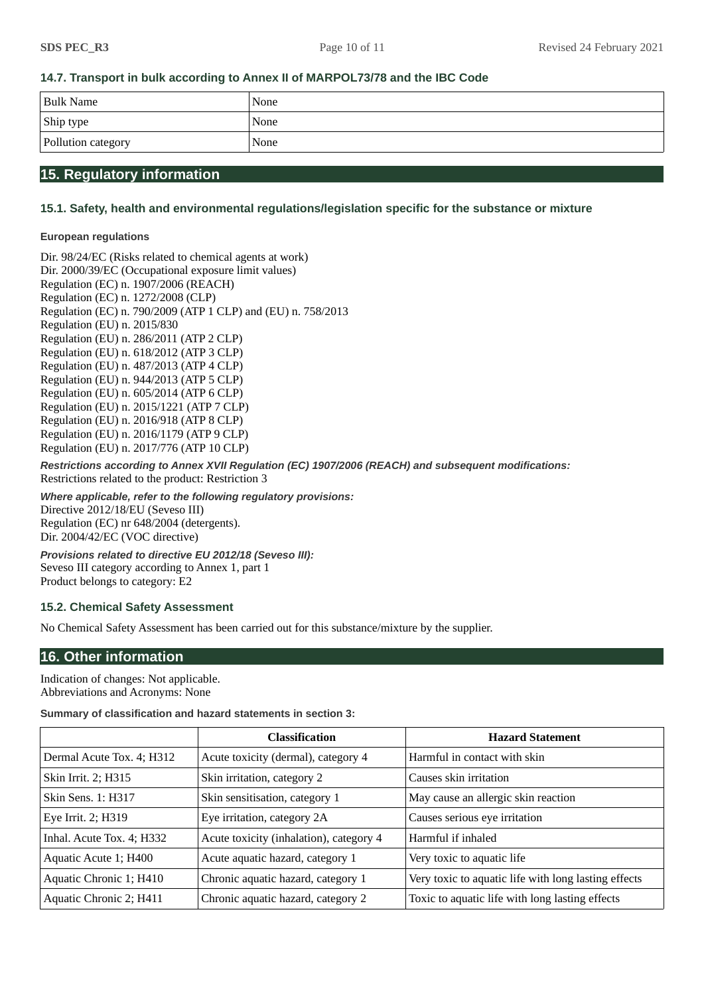# **14.7. Transport in bulk according to Annex II of MARPOL73/78 and the IBC Code**

| <b>Bulk Name</b>   | None |
|--------------------|------|
| Ship type          | None |
| Pollution category | None |

# **15. Regulatory information**

# **15.1. Safety, health and environmental regulations/legislation specific for the substance or mixture**

## **European regulations**

Dir. 98/24/EC (Risks related to chemical agents at work) Dir. 2000/39/EC (Occupational exposure limit values) Regulation (EC) n. 1907/2006 (REACH) Regulation (EC) n. 1272/2008 (CLP) Regulation (EC) n. 790/2009 (ATP 1 CLP) and (EU) n. 758/2013 Regulation (EU) n. 2015/830 Regulation (EU) n. 286/2011 (ATP 2 CLP) Regulation (EU) n. 618/2012 (ATP 3 CLP) Regulation (EU) n. 487/2013 (ATP 4 CLP) Regulation (EU) n. 944/2013 (ATP 5 CLP) Regulation (EU) n. 605/2014 (ATP 6 CLP) Regulation (EU) n. 2015/1221 (ATP 7 CLP) Regulation (EU) n. 2016/918 (ATP 8 CLP) Regulation (EU) n. 2016/1179 (ATP 9 CLP) Regulation (EU) n. 2017/776 (ATP 10 CLP)

*Restrictions according to Annex XVII Regulation (EC) 1907/2006 (REACH) and subsequent modifications:* Restrictions related to the product: Restriction 3

*Where applicable, refer to the following regulatory provisions:* Directive 2012/18/EU (Seveso III) Regulation (EC) nr 648/2004 (detergents). Dir. 2004/42/EC (VOC directive)

*Provisions related to directive EU 2012/18 (Seveso III):* Seveso III category according to Annex 1, part 1 Product belongs to category: E2

## **15.2. Chemical Safety Assessment**

No Chemical Safety Assessment has been carried out for this substance/mixture by the supplier.

# **16. Other information**

Indication of changes: Not applicable. Abbreviations and Acronyms: None

#### **Summary of classification and hazard statements in section 3:**

|                                                               | <b>Classification</b>                   | <b>Hazard Statement</b>                              |
|---------------------------------------------------------------|-----------------------------------------|------------------------------------------------------|
| Dermal Acute Tox. 4; H312                                     | Acute toxicity (dermal), category 4     | Harmful in contact with skin                         |
| Skin Irrit. 2; H315                                           | Skin irritation, category 2             | Causes skin irritation                               |
| <b>Skin Sens. 1: H317</b>                                     | Skin sensitisation, category 1          | May cause an allergic skin reaction                  |
| Eye Irrit. 2; H319                                            | Eye irritation, category 2A             | Causes serious eye irritation                        |
| Inhal. Acute Tox. 4; H332                                     | Acute toxicity (inhalation), category 4 | Harmful if inhaled                                   |
| Aquatic Acute 1; H400                                         | Acute aquatic hazard, category 1        | Very toxic to aquatic life                           |
| Aquatic Chronic 1; H410                                       | Chronic aquatic hazard, category 1      | Very toxic to aquatic life with long lasting effects |
| Aquatic Chronic 2; H411<br>Chronic aquatic hazard, category 2 |                                         | Toxic to aquatic life with long lasting effects      |